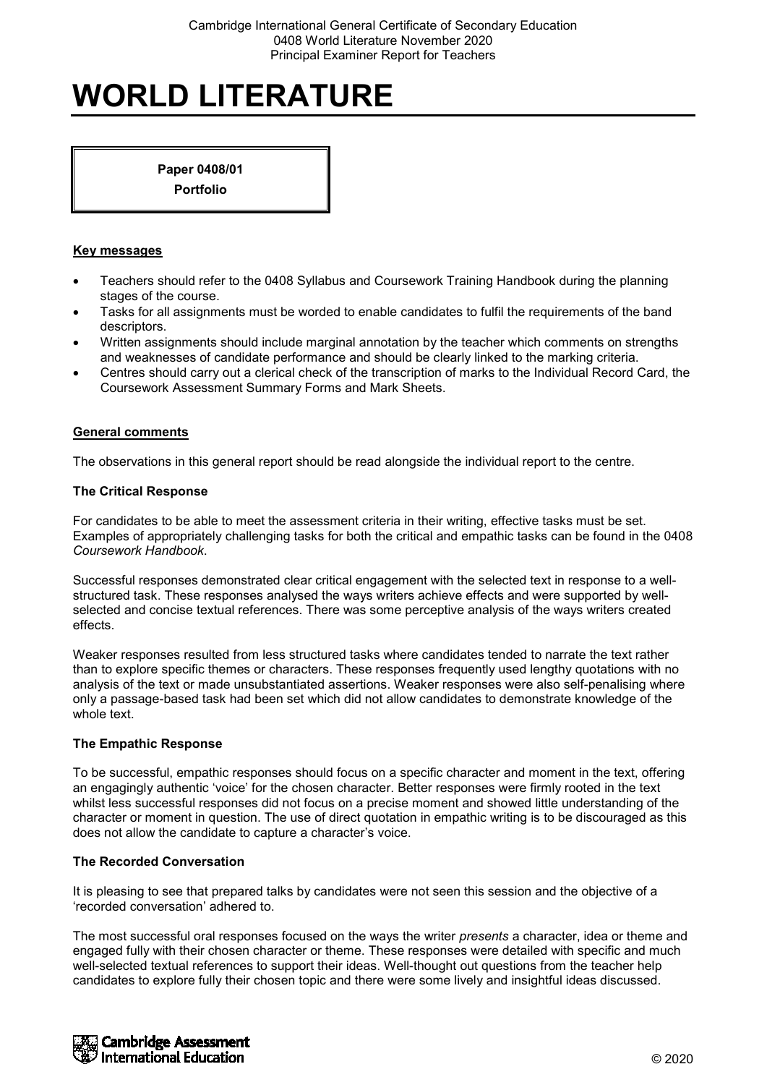**Paper 0408/01 Portfolio**

#### **Key messages**

- Teachers should refer to the 0408 Syllabus and Coursework Training Handbook during the planning stages of the course.
- Tasks for all assignments must be worded to enable candidates to fulfil the requirements of the band descriptors.
- Written assignments should include marginal annotation by the teacher which comments on strengths and weaknesses of candidate performance and should be clearly linked to the marking criteria.
- Centres should carry out a clerical check of the transcription of marks to the Individual Record Card, the Coursework Assessment Summary Forms and Mark Sheets.

#### **General comments**

The observations in this general report should be read alongside the individual report to the centre.

#### **The Critical Response**

For candidates to be able to meet the assessment criteria in their writing, effective tasks must be set. Examples of appropriately challenging tasks for both the critical and empathic tasks can be found in the 0408 *Coursework Handbook*.

Successful responses demonstrated clear critical engagement with the selected text in response to a wellstructured task. These responses analysed the ways writers achieve effects and were supported by wellselected and concise textual references. There was some perceptive analysis of the ways writers created effects.

Weaker responses resulted from less structured tasks where candidates tended to narrate the text rather than to explore specific themes or characters. These responses frequently used lengthy quotations with no analysis of the text or made unsubstantiated assertions. Weaker responses were also self-penalising where only a passage-based task had been set which did not allow candidates to demonstrate knowledge of the whole text.

#### **The Empathic Response**

To be successful, empathic responses should focus on a specific character and moment in the text, offering an engagingly authentic 'voice' for the chosen character. Better responses were firmly rooted in the text whilst less successful responses did not focus on a precise moment and showed little understanding of the character or moment in question. The use of direct quotation in empathic writing is to be discouraged as this does not allow the candidate to capture a character's voice.

## **The Recorded Conversation**

It is pleasing to see that prepared talks by candidates were not seen this session and the objective of a 'recorded conversation' adhered to.

The most successful oral responses focused on the ways the writer *presents* a character, idea or theme and engaged fully with their chosen character or theme. These responses were detailed with specific and much well-selected textual references to support their ideas. Well-thought out questions from the teacher help candidates to explore fully their chosen topic and there were some lively and insightful ideas discussed.

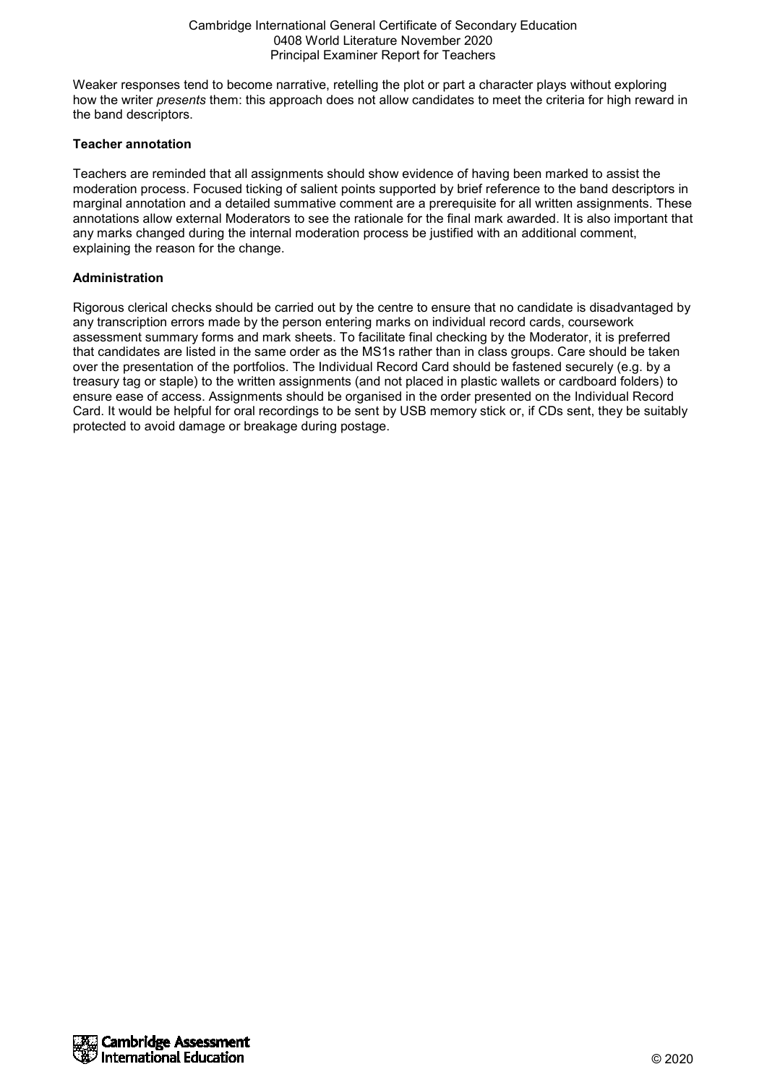Weaker responses tend to become narrative, retelling the plot or part a character plays without exploring how the writer *presents* them: this approach does not allow candidates to meet the criteria for high reward in the band descriptors.

### **Teacher annotation**

Teachers are reminded that all assignments should show evidence of having been marked to assist the moderation process. Focused ticking of salient points supported by brief reference to the band descriptors in marginal annotation and a detailed summative comment are a prerequisite for all written assignments. These annotations allow external Moderators to see the rationale for the final mark awarded. It is also important that any marks changed during the internal moderation process be justified with an additional comment, explaining the reason for the change.

## **Administration**

Rigorous clerical checks should be carried out by the centre to ensure that no candidate is disadvantaged by any transcription errors made by the person entering marks on individual record cards, coursework assessment summary forms and mark sheets. To facilitate final checking by the Moderator, it is preferred that candidates are listed in the same order as the MS1s rather than in class groups. Care should be taken over the presentation of the portfolios. The Individual Record Card should be fastened securely (e.g. by a treasury tag or staple) to the written assignments (and not placed in plastic wallets or cardboard folders) to ensure ease of access. Assignments should be organised in the order presented on the Individual Record Card. It would be helpful for oral recordings to be sent by USB memory stick or, if CDs sent, they be suitably protected to avoid damage or breakage during postage.

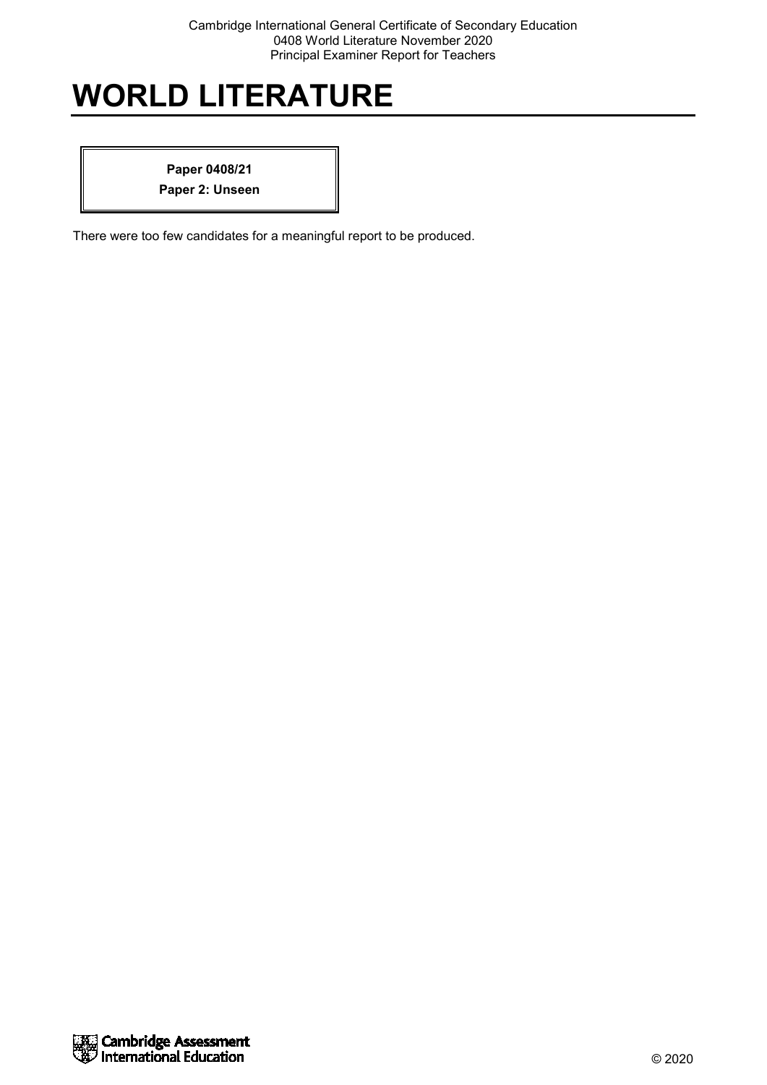**Paper 0408/21 Paper 2: Unseen**

There were too few candidates for a meaningful report to be produced.

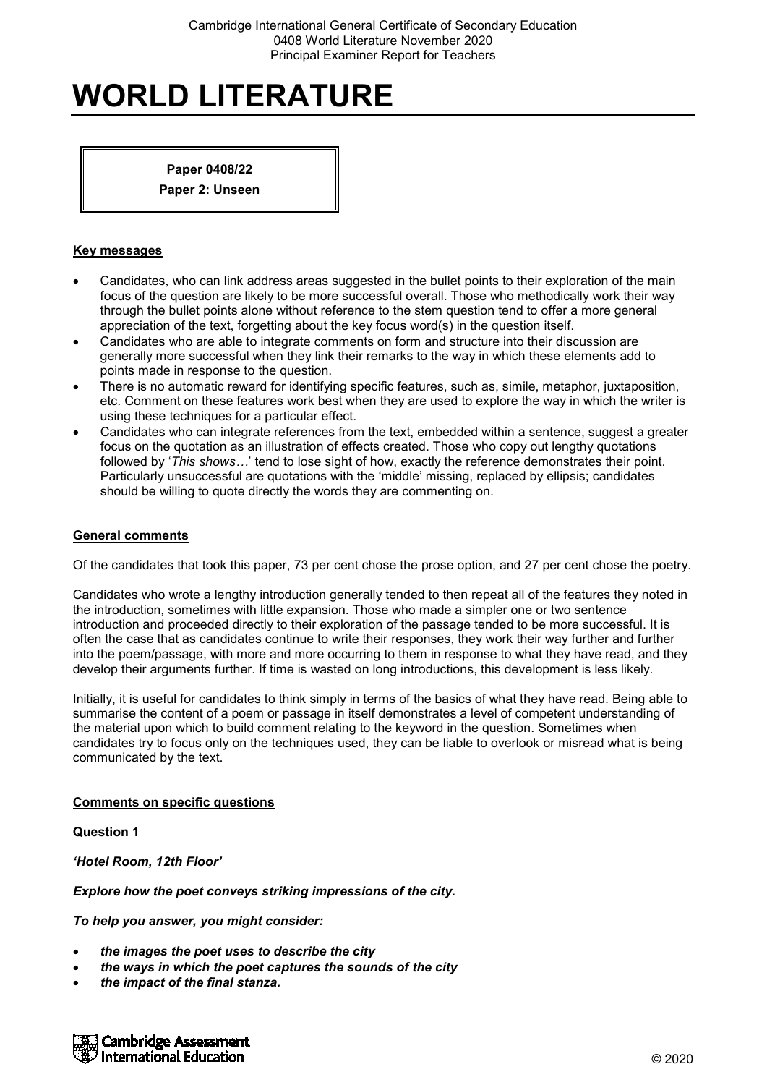### **Paper 0408/22**

**Paper 2: Unseen**

### **Key messages**

- Candidates, who can link address areas suggested in the bullet points to their exploration of the main focus of the question are likely to be more successful overall. Those who methodically work their way through the bullet points alone without reference to the stem question tend to offer a more general appreciation of the text, forgetting about the key focus word(s) in the question itself.
- Candidates who are able to integrate comments on form and structure into their discussion are generally more successful when they link their remarks to the way in which these elements add to points made in response to the question.
- There is no automatic reward for identifying specific features, such as, simile, metaphor, juxtaposition, etc. Comment on these features work best when they are used to explore the way in which the writer is using these techniques for a particular effect.
- Candidates who can integrate references from the text, embedded within a sentence, suggest a greater focus on the quotation as an illustration of effects created. Those who copy out lengthy quotations followed by '*This shows…*' tend to lose sight of how, exactly the reference demonstrates their point. Particularly unsuccessful are quotations with the 'middle' missing, replaced by ellipsis; candidates should be willing to quote directly the words they are commenting on.

#### **General comments**

Of the candidates that took this paper, 73 per cent chose the prose option, and 27 per cent chose the poetry.

Candidates who wrote a lengthy introduction generally tended to then repeat all of the features they noted in the introduction, sometimes with little expansion. Those who made a simpler one or two sentence introduction and proceeded directly to their exploration of the passage tended to be more successful. It is often the case that as candidates continue to write their responses, they work their way further and further into the poem/passage, with more and more occurring to them in response to what they have read, and they develop their arguments further. If time is wasted on long introductions, this development is less likely.

Initially, it is useful for candidates to think simply in terms of the basics of what they have read. Being able to summarise the content of a poem or passage in itself demonstrates a level of competent understanding of the material upon which to build comment relating to the keyword in the question. Sometimes when candidates try to focus only on the techniques used, they can be liable to overlook or misread what is being communicated by the text.

## **Comments on specific questions**

#### **Question 1**

*'Hotel Room, 12th Floor'*

*Explore how the poet conveys striking impressions of the city.*

*To help you answer, you might consider:*

- *the images the poet uses to describe the city*
- *the ways in which the poet captures the sounds of the city*
- *the impact of the final stanza.*

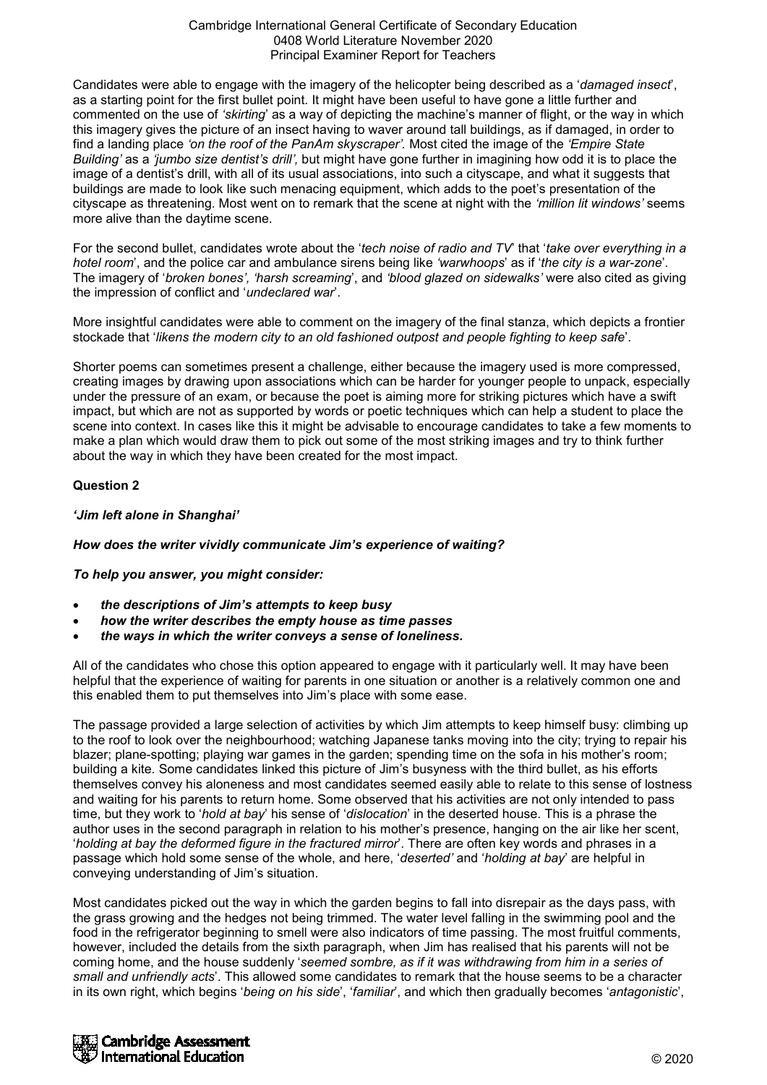Candidates were able to engage with the imagery of the helicopter being described as a '*damaged insect*', as a starting point for the first bullet point. It might have been useful to have gone a little further and commented on the use of *'skirting*' as a way of depicting the machine's manner of flight, or the way in which this imagery gives the picture of an insect having to waver around tall buildings, as if damaged, in order to find a landing place *'on the roof of the PanAm skyscraper'.* Most cited the image of the *'Empire State Building'* as a *'jumbo size dentist's drill',* but might have gone further in imagining how odd it is to place the image of a dentist's drill, with all of its usual associations, into such a cityscape, and what it suggests that buildings are made to look like such menacing equipment, which adds to the poet's presentation of the cityscape as threatening. Most went on to remark that the scene at night with the *'million lit windows'* seems more alive than the daytime scene.

For the second bullet, candidates wrote about the '*tech noise of radio and TV*' that '*take over everything in a hotel room*', and the police car and ambulance sirens being like *'warwhoops*' as if '*the city is a war-zone*'. The imagery of '*broken bones', 'harsh screaming*', and *'blood glazed on sidewalks'* were also cited as giving the impression of conflict and '*undeclared war*'.

More insightful candidates were able to comment on the imagery of the final stanza, which depicts a frontier stockade that '*likens the modern city to an old fashioned outpost and people fighting to keep safe*'.

Shorter poems can sometimes present a challenge, either because the imagery used is more compressed, creating images by drawing upon associations which can be harder for younger people to unpack, especially under the pressure of an exam, or because the poet is aiming more for striking pictures which have a swift impact, but which are not as supported by words or poetic techniques which can help a student to place the scene into context. In cases like this it might be advisable to encourage candidates to take a few moments to make a plan which would draw them to pick out some of the most striking images and try to think further about the way in which they have been created for the most impact.

# **Question 2**

## *'Jim left alone in Shanghai'*

## *How does the writer vividly communicate Jim's experience of waiting?*

## *To help you answer, you might consider:*

- *the descriptions of Jim's attempts to keep busy*
- *how the writer describes the empty house as time passes*
- *the ways in which the writer conveys a sense of loneliness.*

All of the candidates who chose this option appeared to engage with it particularly well. It may have been helpful that the experience of waiting for parents in one situation or another is a relatively common one and this enabled them to put themselves into Jim's place with some ease.

The passage provided a large selection of activities by which Jim attempts to keep himself busy: climbing up to the roof to look over the neighbourhood; watching Japanese tanks moving into the city; trying to repair his blazer; plane-spotting; playing war games in the garden; spending time on the sofa in his mother's room; building a kite. Some candidates linked this picture of Jim's busyness with the third bullet, as his efforts themselves convey his aloneness and most candidates seemed easily able to relate to this sense of lostness and waiting for his parents to return home. Some observed that his activities are not only intended to pass time, but they work to '*hold at bay*' his sense of '*dislocation*' in the deserted house. This is a phrase the author uses in the second paragraph in relation to his mother's presence, hanging on the air like her scent, '*holding at bay the deformed figure in the fractured mirror*'. There are often key words and phrases in a passage which hold some sense of the whole, and here, '*deserted'* and '*holding at bay*' are helpful in conveying understanding of Jim's situation.

Most candidates picked out the way in which the garden begins to fall into disrepair as the days pass, with the grass growing and the hedges not being trimmed. The water level falling in the swimming pool and the food in the refrigerator beginning to smell were also indicators of time passing. The most fruitful comments, however, included the details from the sixth paragraph, when Jim has realised that his parents will not be coming home, and the house suddenly '*seemed sombre, as if it was withdrawing from him in a series of small and unfriendly acts*'. This allowed some candidates to remark that the house seems to be a character in its own right, which begins '*being on his side*', '*familiar*', and which then gradually becomes '*antagonistic*',

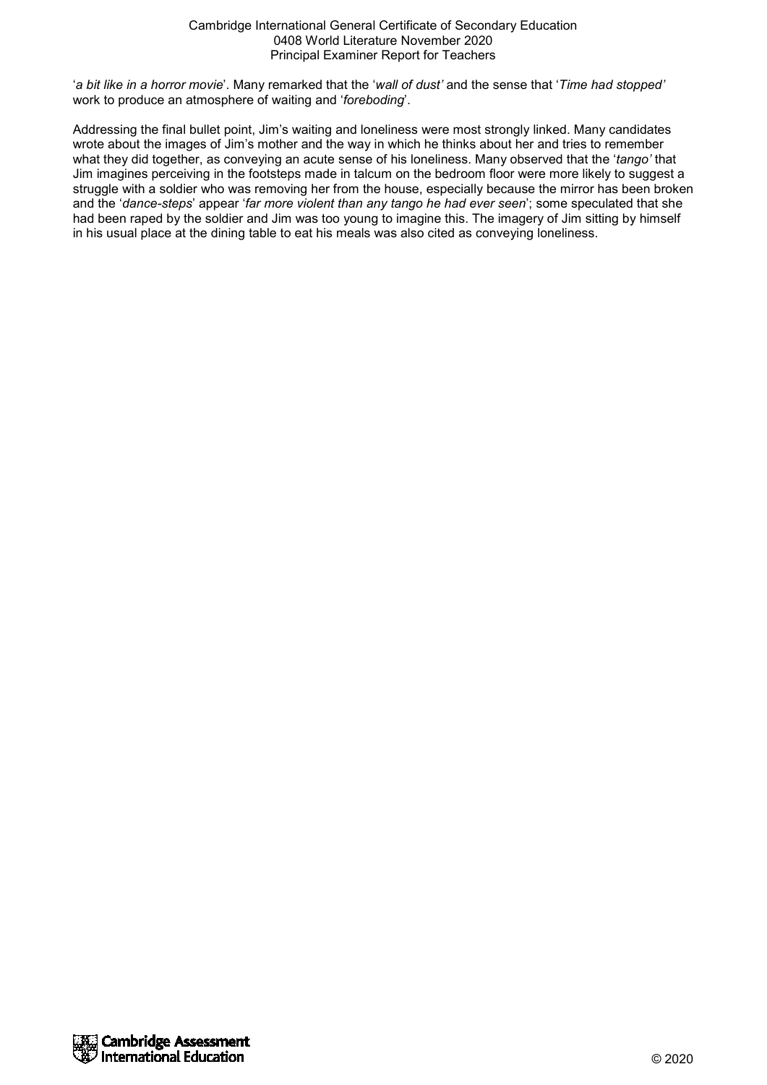'*a bit like in a horror movie*'. Many remarked that the '*wall of dust'* and the sense that '*Time had stopped'* work to produce an atmosphere of waiting and '*foreboding*'.

Addressing the final bullet point, Jim's waiting and loneliness were most strongly linked. Many candidates wrote about the images of Jim's mother and the way in which he thinks about her and tries to remember what they did together, as conveying an acute sense of his loneliness. Many observed that the '*tango'* that Jim imagines perceiving in the footsteps made in talcum on the bedroom floor were more likely to suggest a struggle with a soldier who was removing her from the house, especially because the mirror has been broken and the '*dance-steps*' appear '*far more violent than any tango he had ever seen*'; some speculated that she had been raped by the soldier and Jim was too young to imagine this. The imagery of Jim sitting by himself in his usual place at the dining table to eat his meals was also cited as conveying loneliness.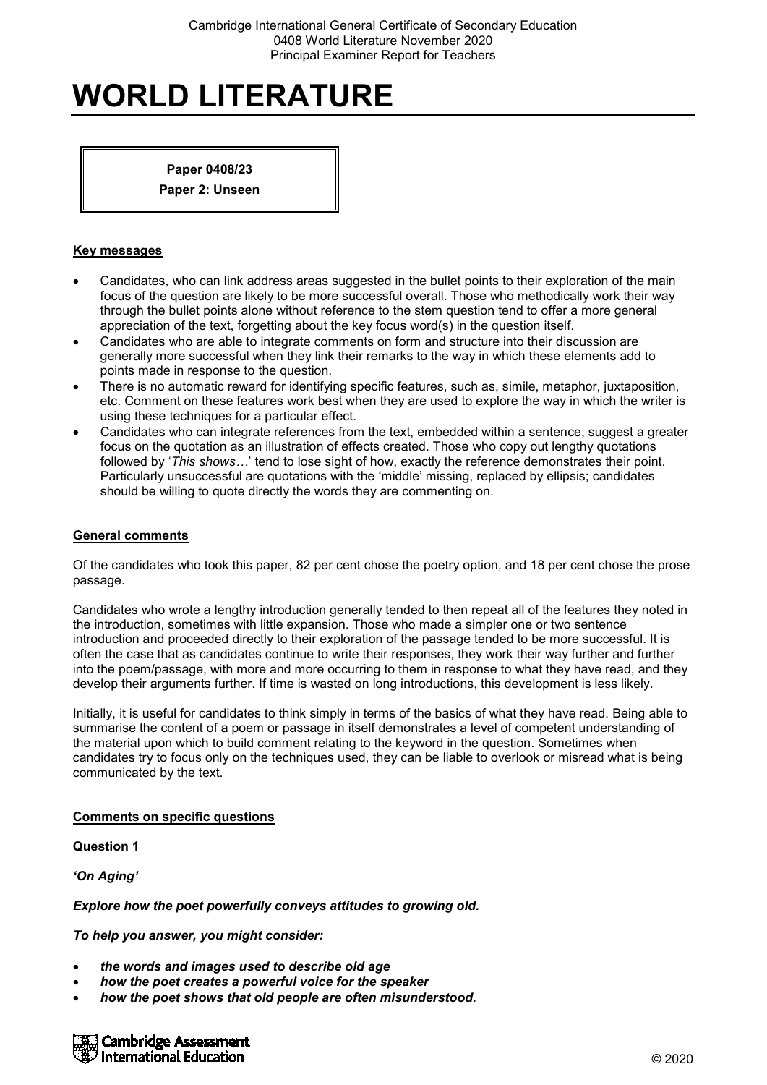## **Paper 0408/23**

**Paper 2: Unseen**

## **Key messages**

- Candidates, who can link address areas suggested in the bullet points to their exploration of the main focus of the question are likely to be more successful overall. Those who methodically work their way through the bullet points alone without reference to the stem question tend to offer a more general appreciation of the text, forgetting about the key focus word(s) in the question itself.
- Candidates who are able to integrate comments on form and structure into their discussion are generally more successful when they link their remarks to the way in which these elements add to points made in response to the question.
- There is no automatic reward for identifying specific features, such as, simile, metaphor, juxtaposition, etc. Comment on these features work best when they are used to explore the way in which the writer is using these techniques for a particular effect.
- Candidates who can integrate references from the text, embedded within a sentence, suggest a greater focus on the quotation as an illustration of effects created. Those who copy out lengthy quotations followed by '*This shows…*' tend to lose sight of how, exactly the reference demonstrates their point. Particularly unsuccessful are quotations with the 'middle' missing, replaced by ellipsis; candidates should be willing to quote directly the words they are commenting on.

## **General comments**

Of the candidates who took this paper, 82 per cent chose the poetry option, and 18 per cent chose the prose passage.

Candidates who wrote a lengthy introduction generally tended to then repeat all of the features they noted in the introduction, sometimes with little expansion. Those who made a simpler one or two sentence introduction and proceeded directly to their exploration of the passage tended to be more successful. It is often the case that as candidates continue to write their responses, they work their way further and further into the poem/passage, with more and more occurring to them in response to what they have read, and they develop their arguments further. If time is wasted on long introductions, this development is less likely.

Initially, it is useful for candidates to think simply in terms of the basics of what they have read. Being able to summarise the content of a poem or passage in itself demonstrates a level of competent understanding of the material upon which to build comment relating to the keyword in the question. Sometimes when candidates try to focus only on the techniques used, they can be liable to overlook or misread what is being communicated by the text.

## **Comments on specific questions**

**Question 1**

*'On Aging'*

*Explore how the poet powerfully conveys attitudes to growing old.*

*To help you answer, you might consider:*

- *the words and images used to describe old age*
- *how the poet creates a powerful voice for the speaker*
- *how the poet shows that old people are often misunderstood.*

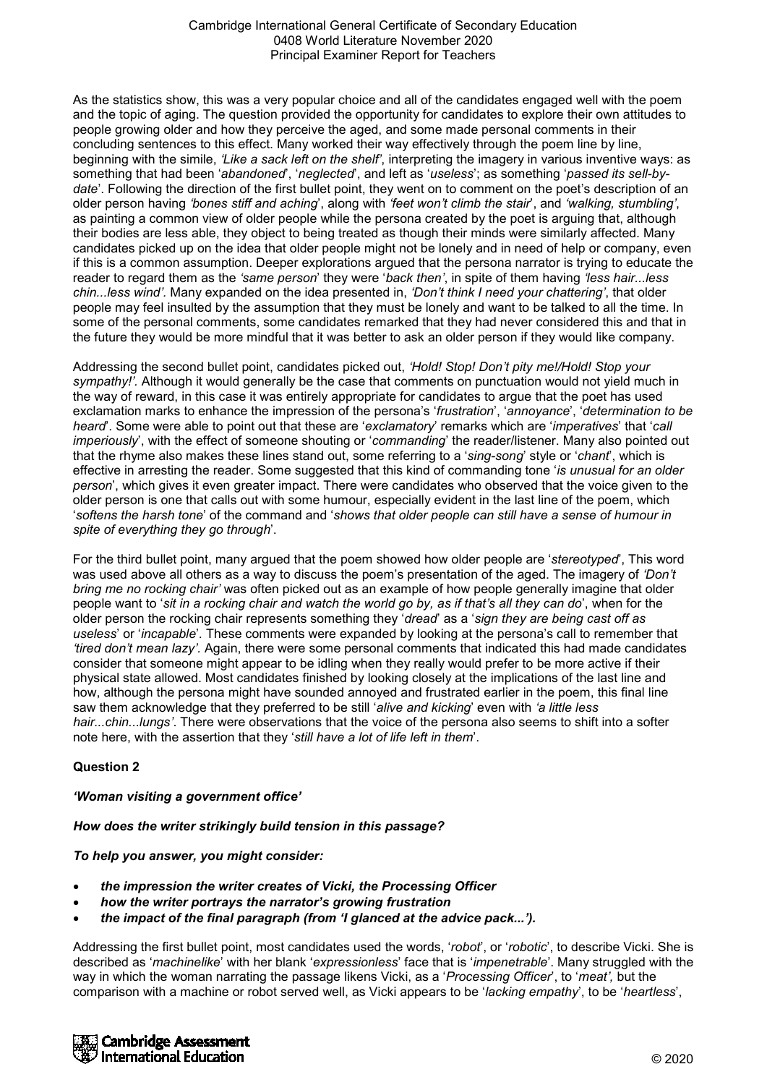As the statistics show, this was a very popular choice and all of the candidates engaged well with the poem and the topic of aging. The question provided the opportunity for candidates to explore their own attitudes to people growing older and how they perceive the aged, and some made personal comments in their concluding sentences to this effect. Many worked their way effectively through the poem line by line, beginning with the simile, *'Like a sack left on the shelf'*, interpreting the imagery in various inventive ways: as something that had been '*abandoned*', '*neglected*', and left as '*useless*'; as something '*passed its sell-bydate*'. Following the direction of the first bullet point, they went on to comment on the poet's description of an older person having *'bones stiff and aching*', along with *'feet won't climb the stair*', and *'walking, stumbling'*, as painting a common view of older people while the persona created by the poet is arguing that, although their bodies are less able, they object to being treated as though their minds were similarly affected. Many candidates picked up on the idea that older people might not be lonely and in need of help or company, even if this is a common assumption. Deeper explorations argued that the persona narrator is trying to educate the reader to regard them as the *'same person*' they were '*back then'*, in spite of them having *'less hair...less chin...less wind'.* Many expanded on the idea presented in, *'Don't think I need your chattering'*, that older people may feel insulted by the assumption that they must be lonely and want to be talked to all the time. In some of the personal comments, some candidates remarked that they had never considered this and that in the future they would be more mindful that it was better to ask an older person if they would like company.

Addressing the second bullet point, candidates picked out, *'Hold! Stop! Don't pity me!/Hold! Stop your sympathy!'.* Although it would generally be the case that comments on punctuation would not yield much in the way of reward, in this case it was entirely appropriate for candidates to argue that the poet has used exclamation marks to enhance the impression of the persona's '*frustration*', '*annoyance*', '*determination to be heard*'. Some were able to point out that these are '*exclamatory*' remarks which are '*imperatives*' that '*call imperiously*', with the effect of someone shouting or '*commanding*' the reader/listener. Many also pointed out that the rhyme also makes these lines stand out, some referring to a '*sing-song*' style or '*chant*', which is effective in arresting the reader. Some suggested that this kind of commanding tone '*is unusual for an older person*', which gives it even greater impact. There were candidates who observed that the voice given to the older person is one that calls out with some humour, especially evident in the last line of the poem, which '*softens the harsh tone*' of the command and '*shows that older people can still have a sense of humour in spite of everything they go through*'.

For the third bullet point, many argued that the poem showed how older people are '*stereotyped*', This word was used above all others as a way to discuss the poem's presentation of the aged. The imagery of *'Don't bring me no rocking chair'* was often picked out as an example of how people generally imagine that older people want to '*sit in a rocking chair and watch the world go by, as if that's all they can do*', when for the older person the rocking chair represents something they '*dread*' as a '*sign they are being cast off as useless*' or '*incapable*'. These comments were expanded by looking at the persona's call to remember that *'tired don't mean lazy'.* Again, there were some personal comments that indicated this had made candidates consider that someone might appear to be idling when they really would prefer to be more active if their physical state allowed. Most candidates finished by looking closely at the implications of the last line and how, although the persona might have sounded annoyed and frustrated earlier in the poem, this final line saw them acknowledge that they preferred to be still '*alive and kicking*' even with *'a little less hair...chin...lungs'*. There were observations that the voice of the persona also seems to shift into a softer note here, with the assertion that they '*still have a lot of life left in them*'.

## **Question 2**

#### *'Woman visiting a government office'*

*How does the writer strikingly build tension in this passage?*

*To help you answer, you might consider:*

- *the impression the writer creates of Vicki, the Processing Officer*
- *how the writer portrays the narrator's growing frustration*
- *the impact of the final paragraph (from 'I glanced at the advice pack...').*

Addressing the first bullet point, most candidates used the words, '*robot*', or '*robotic*', to describe Vicki. She is described as '*machinelike*' with her blank '*expressionless*' face that is '*impenetrable*'. Many struggled with the way in which the woman narrating the passage likens Vicki, as a '*Processing Officer*', to '*meat',* but the comparison with a machine or robot served well, as Vicki appears to be '*lacking empathy*', to be '*heartless*',

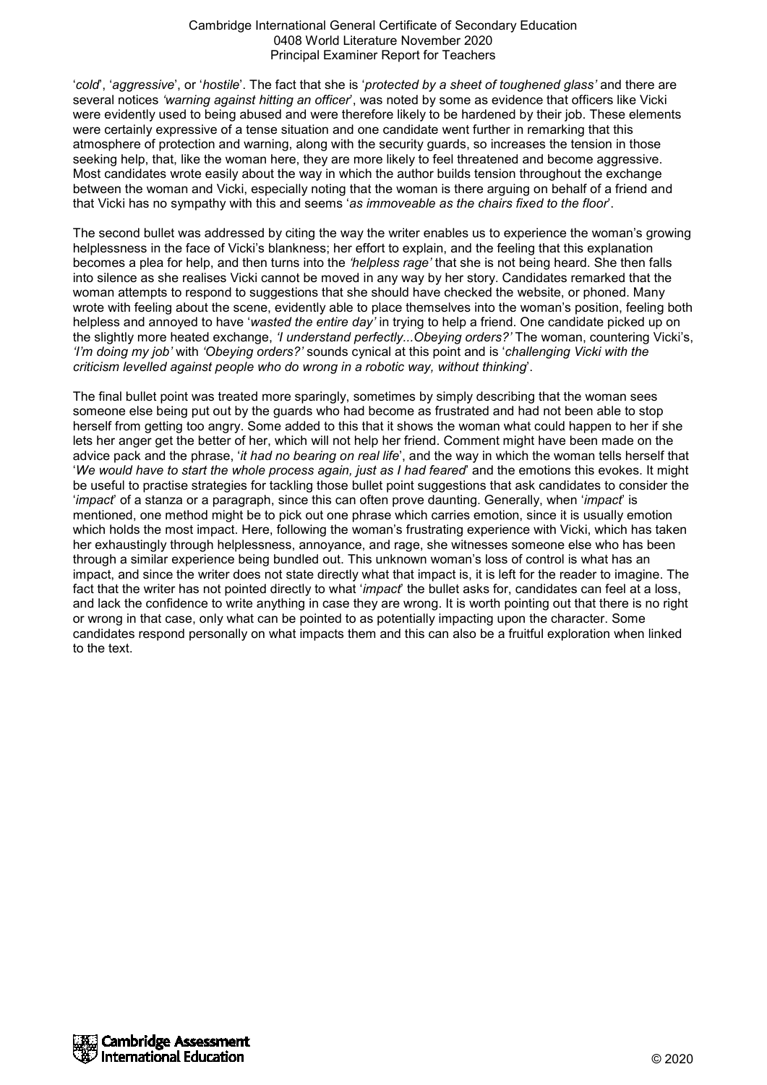'*cold*', '*aggressive*', or '*hostile*'. The fact that she is '*protected by a sheet of toughened glass'* and there are several notices *'warning against hitting an officer*', was noted by some as evidence that officers like Vicki were evidently used to being abused and were therefore likely to be hardened by their job. These elements were certainly expressive of a tense situation and one candidate went further in remarking that this atmosphere of protection and warning, along with the security guards, so increases the tension in those seeking help, that, like the woman here, they are more likely to feel threatened and become aggressive. Most candidates wrote easily about the way in which the author builds tension throughout the exchange between the woman and Vicki, especially noting that the woman is there arguing on behalf of a friend and that Vicki has no sympathy with this and seems '*as immoveable as the chairs fixed to the floor*'.

The second bullet was addressed by citing the way the writer enables us to experience the woman's growing helplessness in the face of Vicki's blankness; her effort to explain, and the feeling that this explanation becomes a plea for help, and then turns into the *'helpless rage'* that she is not being heard. She then falls into silence as she realises Vicki cannot be moved in any way by her story. Candidates remarked that the woman attempts to respond to suggestions that she should have checked the website, or phoned. Many wrote with feeling about the scene, evidently able to place themselves into the woman's position, feeling both helpless and annoyed to have '*wasted the entire day'* in trying to help a friend. One candidate picked up on the slightly more heated exchange, *'I understand perfectly...Obeying orders?'* The woman, countering Vicki's, *'I'm doing my job'* with *'Obeying orders?'* sounds cynical at this point and is '*challenging Vicki with the criticism levelled against people who do wrong in a robotic way, without thinking*'.

The final bullet point was treated more sparingly, sometimes by simply describing that the woman sees someone else being put out by the guards who had become as frustrated and had not been able to stop herself from getting too angry. Some added to this that it shows the woman what could happen to her if she lets her anger get the better of her, which will not help her friend. Comment might have been made on the advice pack and the phrase, '*it had no bearing on real life*', and the way in which the woman tells herself that '*We would have to start the whole process again, just as I had feared*' and the emotions this evokes. It might be useful to practise strategies for tackling those bullet point suggestions that ask candidates to consider the '*impact*' of a stanza or a paragraph, since this can often prove daunting. Generally, when '*impact*' is mentioned, one method might be to pick out one phrase which carries emotion, since it is usually emotion which holds the most impact. Here, following the woman's frustrating experience with Vicki, which has taken her exhaustingly through helplessness, annoyance, and rage, she witnesses someone else who has been through a similar experience being bundled out. This unknown woman's loss of control is what has an impact, and since the writer does not state directly what that impact is, it is left for the reader to imagine. The fact that the writer has not pointed directly to what '*impact*' the bullet asks for, candidates can feel at a loss, and lack the confidence to write anything in case they are wrong. It is worth pointing out that there is no right or wrong in that case, only what can be pointed to as potentially impacting upon the character. Some candidates respond personally on what impacts them and this can also be a fruitful exploration when linked to the text.

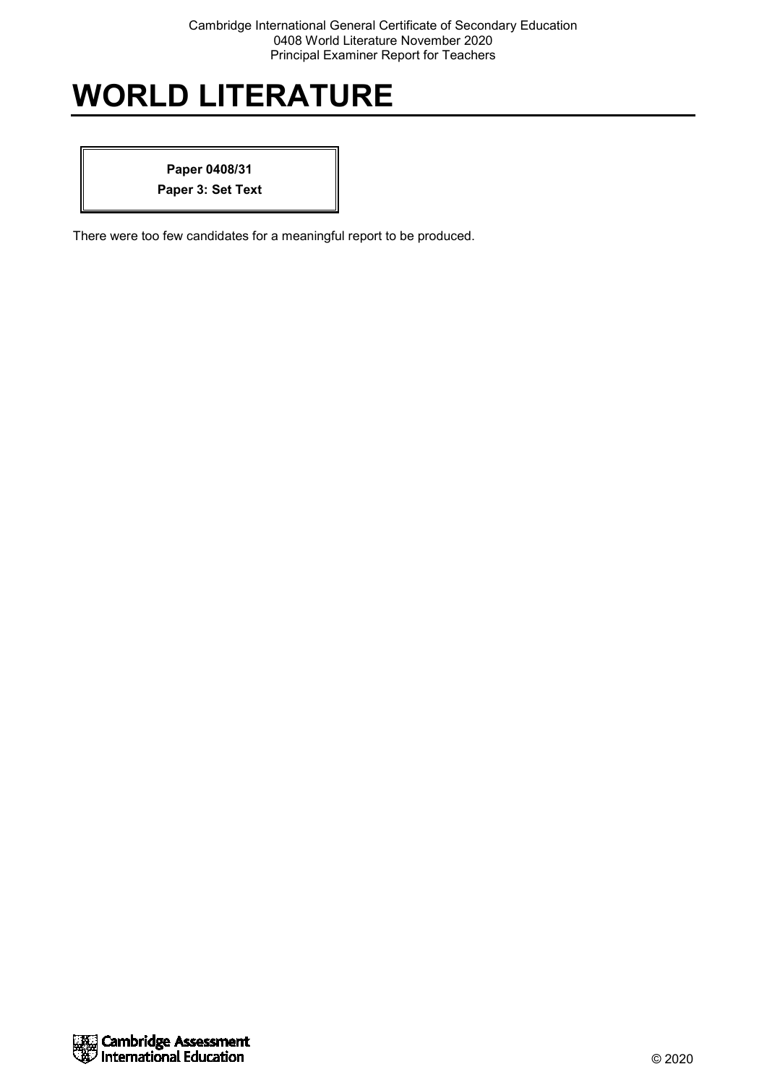**Paper 0408/31 Paper 3: Set Text**

There were too few candidates for a meaningful report to be produced.

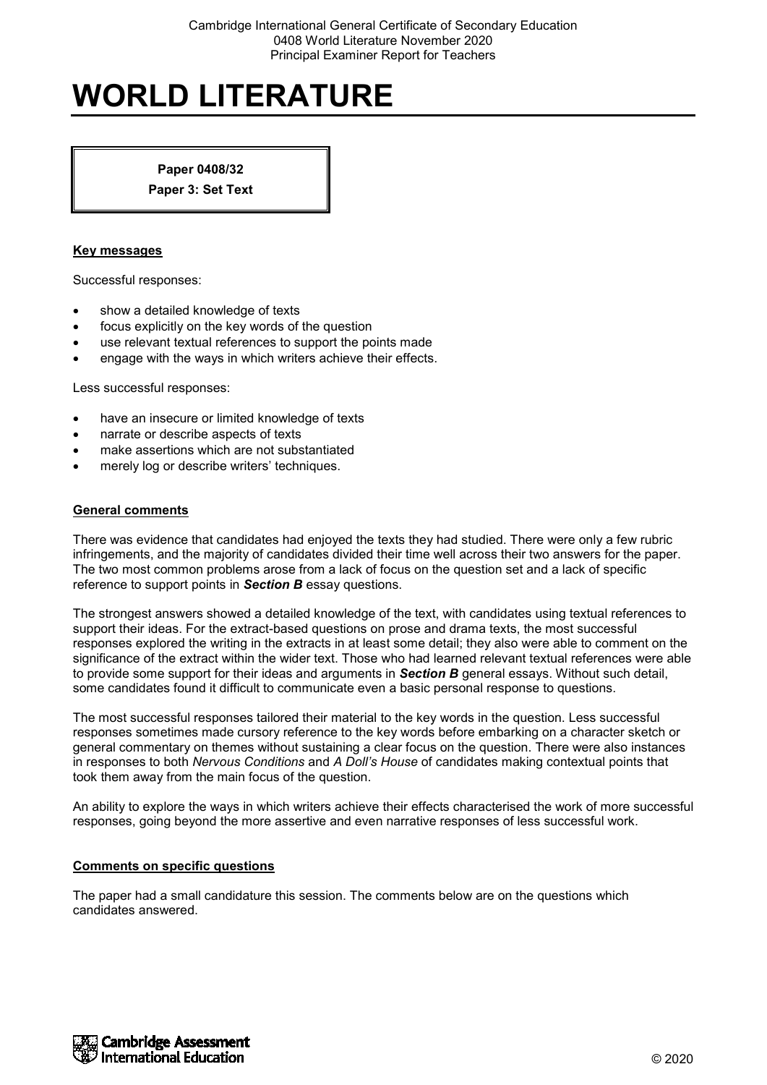**Paper 0408/32**

**Paper 3: Set Text**

## **Key messages**

Successful responses:

- show a detailed knowledge of texts
- focus explicitly on the key words of the question
- use relevant textual references to support the points made
- engage with the ways in which writers achieve their effects.

Less successful responses:

- have an insecure or limited knowledge of texts
- narrate or describe aspects of texts
- make assertions which are not substantiated
- merely log or describe writers' techniques.

#### **General comments**

There was evidence that candidates had enjoyed the texts they had studied. There were only a few rubric infringements, and the majority of candidates divided their time well across their two answers for the paper. The two most common problems arose from a lack of focus on the question set and a lack of specific reference to support points in *Section B* essay questions.

The strongest answers showed a detailed knowledge of the text, with candidates using textual references to support their ideas. For the extract-based questions on prose and drama texts, the most successful responses explored the writing in the extracts in at least some detail; they also were able to comment on the significance of the extract within the wider text. Those who had learned relevant textual references were able to provide some support for their ideas and arguments in *Section B* general essays. Without such detail, some candidates found it difficult to communicate even a basic personal response to questions.

The most successful responses tailored their material to the key words in the question. Less successful responses sometimes made cursory reference to the key words before embarking on a character sketch or general commentary on themes without sustaining a clear focus on the question. There were also instances in responses to both *Nervous Conditions* and *A Doll's House* of candidates making contextual points that took them away from the main focus of the question.

An ability to explore the ways in which writers achieve their effects characterised the work of more successful responses, going beyond the more assertive and even narrative responses of less successful work.

#### **Comments on specific questions**

The paper had a small candidature this session. The comments below are on the questions which candidates answered.

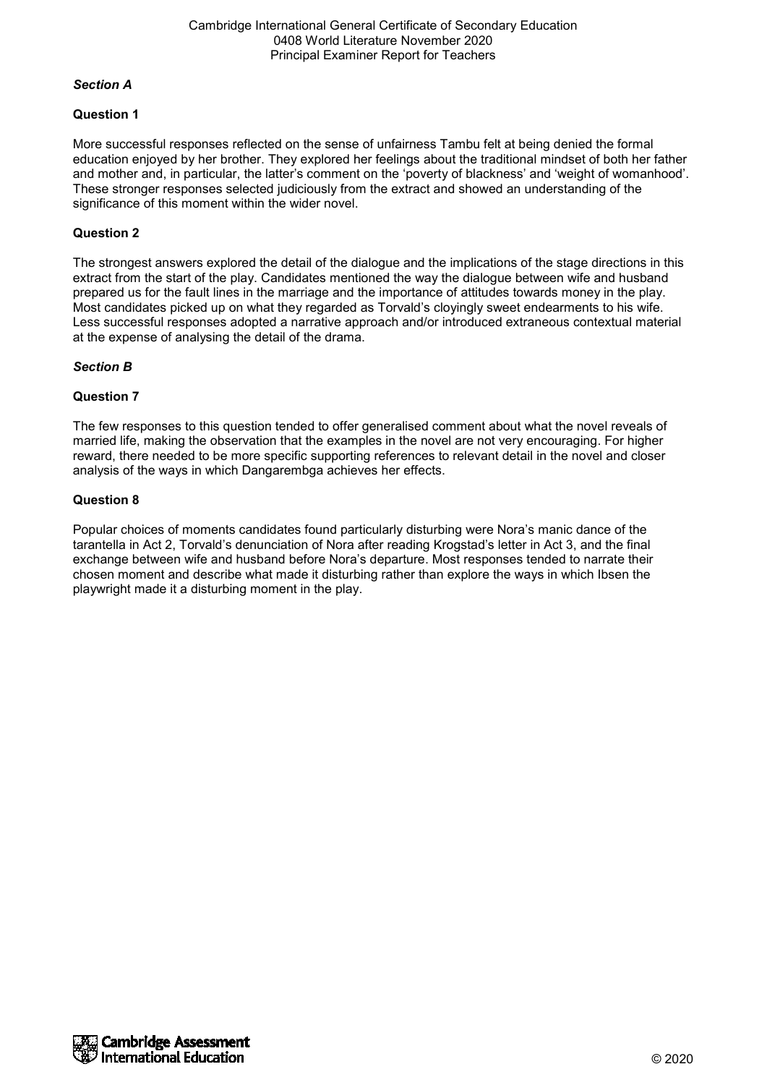## *Section A*

# **Question 1**

More successful responses reflected on the sense of unfairness Tambu felt at being denied the formal education enjoyed by her brother. They explored her feelings about the traditional mindset of both her father and mother and, in particular, the latter's comment on the 'poverty of blackness' and 'weight of womanhood'. These stronger responses selected judiciously from the extract and showed an understanding of the significance of this moment within the wider novel.

# **Question 2**

The strongest answers explored the detail of the dialogue and the implications of the stage directions in this extract from the start of the play. Candidates mentioned the way the dialogue between wife and husband prepared us for the fault lines in the marriage and the importance of attitudes towards money in the play. Most candidates picked up on what they regarded as Torvald's cloyingly sweet endearments to his wife. Less successful responses adopted a narrative approach and/or introduced extraneous contextual material at the expense of analysing the detail of the drama.

# *Section B*

# **Question 7**

The few responses to this question tended to offer generalised comment about what the novel reveals of married life, making the observation that the examples in the novel are not very encouraging. For higher reward, there needed to be more specific supporting references to relevant detail in the novel and closer analysis of the ways in which Dangarembga achieves her effects.

# **Question 8**

Popular choices of moments candidates found particularly disturbing were Nora's manic dance of the tarantella in Act 2, Torvald's denunciation of Nora after reading Krogstad's letter in Act 3, and the final exchange between wife and husband before Nora's departure. Most responses tended to narrate their chosen moment and describe what made it disturbing rather than explore the ways in which Ibsen the playwright made it a disturbing moment in the play.

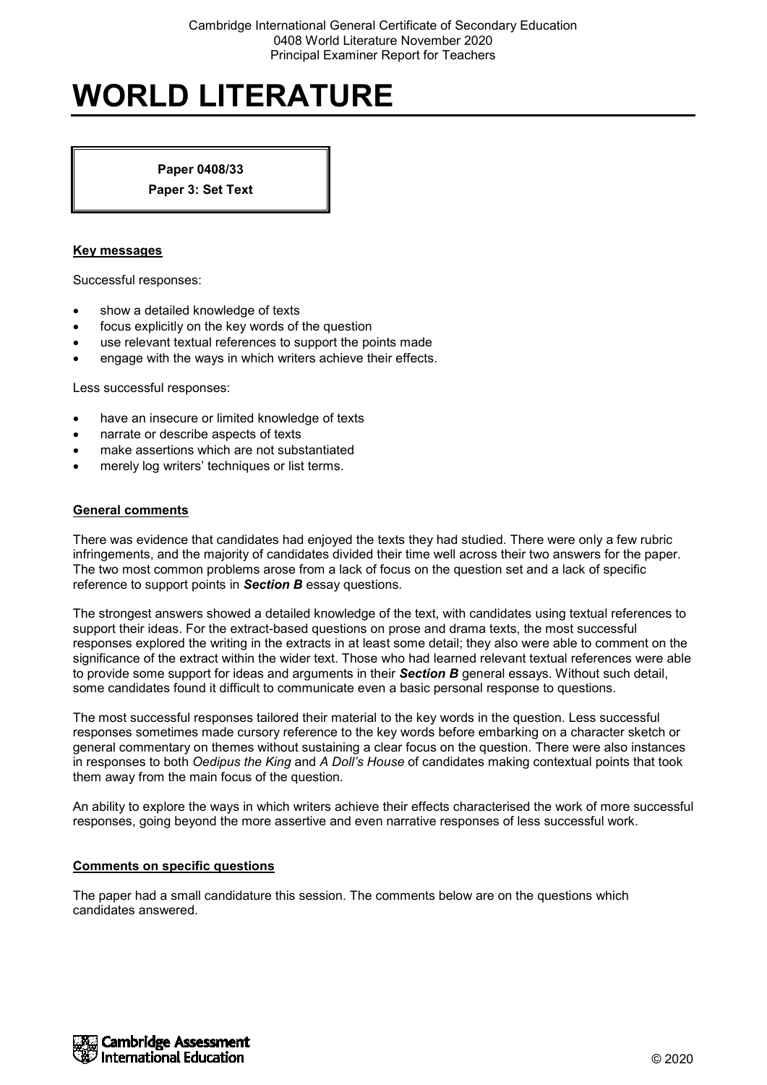**Paper 0408/33**

**Paper 3: Set Text**

## **Key messages**

Successful responses:

- show a detailed knowledge of texts
- focus explicitly on the key words of the question
- use relevant textual references to support the points made
- engage with the ways in which writers achieve their effects.

Less successful responses:

- have an insecure or limited knowledge of texts
- narrate or describe aspects of texts
- make assertions which are not substantiated
- merely log writers' techniques or list terms.

#### **General comments**

There was evidence that candidates had enjoyed the texts they had studied. There were only a few rubric infringements, and the majority of candidates divided their time well across their two answers for the paper. The two most common problems arose from a lack of focus on the question set and a lack of specific reference to support points in *Section B* essay questions.

The strongest answers showed a detailed knowledge of the text, with candidates using textual references to support their ideas. For the extract-based questions on prose and drama texts, the most successful responses explored the writing in the extracts in at least some detail; they also were able to comment on the significance of the extract within the wider text. Those who had learned relevant textual references were able to provide some support for ideas and arguments in their *Section B* general essays. Without such detail, some candidates found it difficult to communicate even a basic personal response to questions.

The most successful responses tailored their material to the key words in the question. Less successful responses sometimes made cursory reference to the key words before embarking on a character sketch or general commentary on themes without sustaining a clear focus on the question. There were also instances in responses to both *Oedipus the King* and *A Doll's House* of candidates making contextual points that took them away from the main focus of the question.

An ability to explore the ways in which writers achieve their effects characterised the work of more successful responses, going beyond the more assertive and even narrative responses of less successful work.

#### **Comments on specific questions**

The paper had a small candidature this session. The comments below are on the questions which candidates answered.